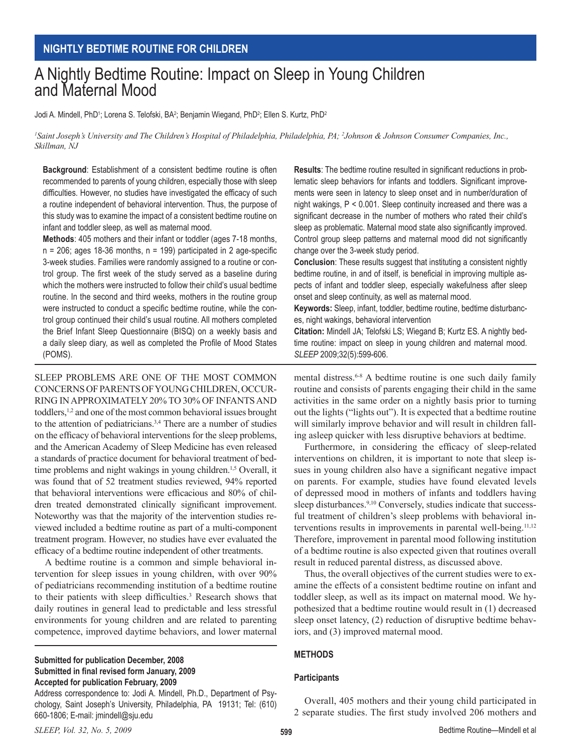# A Nightly Bedtime Routine: Impact on Sleep in Young Children and Maternal Mood

Jodi A. Mindell, PhD<sup>1</sup>; Lorena S. Telofski, BA<sup>2</sup>; Benjamin Wiegand, PhD<sup>2</sup>; Ellen S. Kurtz, PhD<sup>2</sup>

*1 Saint Joseph's University and The Children's Hospital of Philadelphia, Philadelphia, PA; 2 Johnson & Johnson Consumer Companies, Inc., Skillman, NJ*

**Background**: Establishment of a consistent bedtime routine is often recommended to parents of young children, especially those with sleep difficulties. However, no studies have investigated the efficacy of such a routine independent of behavioral intervention. Thus, the purpose of this study was to examine the impact of a consistent bedtime routine on infant and toddler sleep, as well as maternal mood.

**Methods**: 405 mothers and their infant or toddler (ages 7-18 months,  $n = 206$ ; ages 18-36 months,  $n = 199$ ) participated in 2 age-specific 3-week studies. Families were randomly assigned to a routine or control group. The first week of the study served as a baseline during which the mothers were instructed to follow their child's usual bedtime routine. In the second and third weeks, mothers in the routine group were instructed to conduct a specific bedtime routine, while the control group continued their child's usual routine. All mothers completed the Brief Infant Sleep Questionnaire (BISQ) on a weekly basis and a daily sleep diary, as well as completed the Profile of Mood States (POMS).

SLEEP PROBLEMS ARE ONE OF THE MOST COMMON CONCERNS OF PARENTS OF YOUNG CHILDREN, OCCUR-RING IN APPROXIMATELY 20% TO 30% OF INFANTS AND toddlers,<sup>1,2</sup> and one of the most common behavioral issues brought to the attention of pediatricians.3,4 There are a number of studies on the efficacy of behavioral interventions for the sleep problems, and the American Academy of Sleep Medicine has even released a standards of practice document for behavioral treatment of bedtime problems and night wakings in young children.<sup>1,5</sup> Overall, it was found that of 52 treatment studies reviewed, 94% reported that behavioral interventions were efficacious and 80% of children treated demonstrated clinically significant improvement. Noteworthy was that the majority of the intervention studies reviewed included a bedtime routine as part of a multi-component treatment program. However, no studies have ever evaluated the efficacy of a bedtime routine independent of other treatments.

A bedtime routine is a common and simple behavioral intervention for sleep issues in young children, with over 90% of pediatricians recommending institution of a bedtime routine to their patients with sleep difficulties.<sup>3</sup> Research shows that daily routines in general lead to predictable and less stressful environments for young children and are related to parenting competence, improved daytime behaviors, and lower maternal

**Submitted for publication December, 2008 Submitted in final revised form January, 2009 Accepted for publication February, 2009**

Address correspondence to: Jodi A. Mindell, Ph.D., Department of Psychology, Saint Joseph's University, Philadelphia, PA 19131; Tel: (610) 660-1806; E-mail: jmindell@sju.edu

**Results**: The bedtime routine resulted in significant reductions in problematic sleep behaviors for infants and toddlers. Significant improvements were seen in latency to sleep onset and in number/duration of night wakings, P < 0.001. Sleep continuity increased and there was a significant decrease in the number of mothers who rated their child's sleep as problematic. Maternal mood state also significantly improved. Control group sleep patterns and maternal mood did not significantly change over the 3-week study period.

**Conclusion**: These results suggest that instituting a consistent nightly bedtime routine, in and of itself, is beneficial in improving multiple aspects of infant and toddler sleep, especially wakefulness after sleep onset and sleep continuity, as well as maternal mood.

**Keywords:** Sleep, infant, toddler, bedtime routine, bedtime disturbances, night wakings, behavioral intervention

**Citation:** Mindell JA; Telofski LS; Wiegand B; Kurtz ES. A nightly bedtime routine: impact on sleep in young children and maternal mood. *SLEEP* 2009;32(5):599-606.

mental distress.<sup>6-8</sup> A bedtime routine is one such daily family routine and consists of parents engaging their child in the same activities in the same order on a nightly basis prior to turning out the lights ("lights out"). It is expected that a bedtime routine will similarly improve behavior and will result in children falling asleep quicker with less disruptive behaviors at bedtime.

Furthermore, in considering the efficacy of sleep-related interventions on children, it is important to note that sleep issues in young children also have a significant negative impact on parents. For example, studies have found elevated levels of depressed mood in mothers of infants and toddlers having sleep disturbances.<sup>9,10</sup> Conversely, studies indicate that successful treatment of children's sleep problems with behavioral interventions results in improvements in parental well-being.<sup>11,12</sup> Therefore, improvement in parental mood following institution of a bedtime routine is also expected given that routines overall result in reduced parental distress, as discussed above.

Thus, the overall objectives of the current studies were to examine the effects of a consistent bedtime routine on infant and toddler sleep, as well as its impact on maternal mood. We hypothesized that a bedtime routine would result in (1) decreased sleep onset latency, (2) reduction of disruptive bedtime behaviors, and (3) improved maternal mood.

#### **Methods**

#### **Participants**

Overall, 405 mothers and their young child participated in 2 separate studies. The first study involved 206 mothers and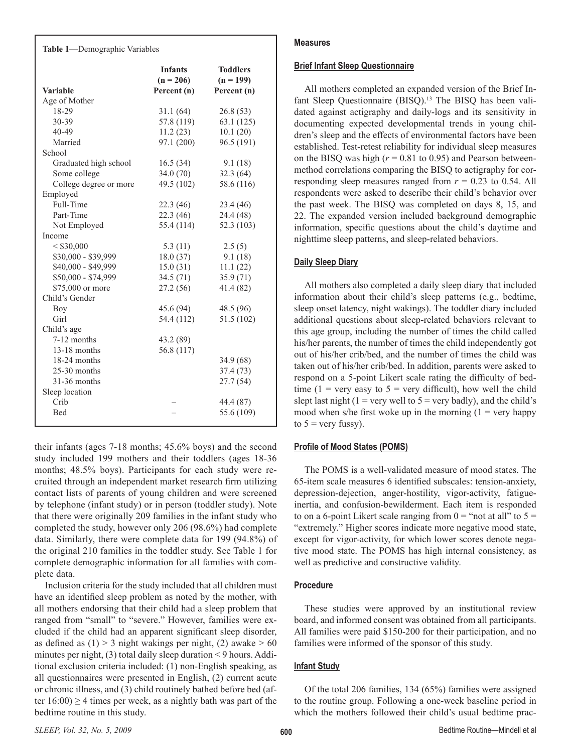| Table 1-Demographic Variables |                                              |                                               |  |  |  |  |
|-------------------------------|----------------------------------------------|-----------------------------------------------|--|--|--|--|
| <b>Variable</b>               | <b>Infants</b><br>$(n = 206)$<br>Percent (n) | <b>Toddlers</b><br>$(n = 199)$<br>Percent (n) |  |  |  |  |
| Age of Mother                 |                                              |                                               |  |  |  |  |
| 18-29                         | 31.1(64)                                     | 26.8(53)                                      |  |  |  |  |
| 30-39                         | 57.8 (119)                                   | 63.1(125)                                     |  |  |  |  |
| 40-49                         | 11.2(23)                                     | 10.1(20)                                      |  |  |  |  |
| Married                       | 97.1 (200)                                   | 96.5 (191)                                    |  |  |  |  |
| School                        |                                              |                                               |  |  |  |  |
| Graduated high school         | 16.5(34)                                     | 9.1(18)                                       |  |  |  |  |
| Some college                  | 34.0(70)                                     | 32.3(64)                                      |  |  |  |  |
| College degree or more        | 49.5 (102)                                   | 58.6 (116)                                    |  |  |  |  |
| Employed                      |                                              |                                               |  |  |  |  |
| Full-Time                     | 22.3(46)                                     | 23.4 (46)                                     |  |  |  |  |
| Part-Time                     | 22.3(46)                                     | 24.4 (48)                                     |  |  |  |  |
| Not Employed                  | 55.4 (114)                                   | 52.3 (103)                                    |  |  |  |  |
| Income                        |                                              |                                               |  |  |  |  |
| < \$30,000                    | 5.3(11)                                      | 2.5(5)                                        |  |  |  |  |
| \$30,000 - \$39,999           | 18.0(37)                                     | 9.1(18)                                       |  |  |  |  |
| \$40,000 - \$49,999           | 15.0(31)                                     | 11.1(22)                                      |  |  |  |  |
| \$50,000 - \$74,999           | 34.5(71)                                     | 35.9(71)                                      |  |  |  |  |
| \$75,000 or more              | 27.2(56)                                     | 41.4 (82)                                     |  |  |  |  |
| Child's Gender                |                                              |                                               |  |  |  |  |
| Boy                           | 45.6 (94)                                    | 48.5 (96)                                     |  |  |  |  |
| Girl                          | 54.4 (112)                                   | 51.5 (102)                                    |  |  |  |  |
| Child's age                   |                                              |                                               |  |  |  |  |
| 7-12 months                   | 43.2 (89)                                    |                                               |  |  |  |  |
| 13-18 months                  | 56.8 (117)                                   |                                               |  |  |  |  |
| 18-24 months                  |                                              | 34.9(68)                                      |  |  |  |  |
| $25-30$ months                |                                              | 37.4(73)                                      |  |  |  |  |
| 31-36 months                  |                                              | 27.7(54)                                      |  |  |  |  |
| Sleep location                |                                              |                                               |  |  |  |  |
| Crib                          |                                              | 44.4 (87)                                     |  |  |  |  |
| <b>Bed</b>                    |                                              | 55.6 (109)                                    |  |  |  |  |
|                               |                                              |                                               |  |  |  |  |

their infants (ages 7-18 months; 45.6% boys) and the second study included 199 mothers and their toddlers (ages 18-36 months; 48.5% boys). Participants for each study were recruited through an independent market research firm utilizing contact lists of parents of young children and were screened by telephone (infant study) or in person (toddler study). Note that there were originally 209 families in the infant study who completed the study, however only 206 (98.6%) had complete data. Similarly, there were complete data for 199 (94.8%) of the original 210 families in the toddler study. See Table 1 for complete demographic information for all families with complete data.

Inclusion criteria for the study included that all children must have an identified sleep problem as noted by the mother, with all mothers endorsing that their child had a sleep problem that ranged from "small" to "severe." However, families were excluded if the child had an apparent significant sleep disorder, as defined as  $(1) > 3$  night wakings per night,  $(2)$  awake  $> 60$ minutes per night,  $(3)$  total daily sleep duration  $\leq$  9 hours. Additional exclusion criteria included: (1) non-English speaking, as all questionnaires were presented in English, (2) current acute or chronic illness, and (3) child routinely bathed before bed (after  $16:00$ )  $\geq$  4 times per week, as a nightly bath was part of the bedtime routine in this study.

## **Measures**

## **Brief Infant Sleep Questionnaire**

All mothers completed an expanded version of the Brief Infant Sleep Questionnaire (BISQ).<sup>13</sup> The BISQ has been validated against actigraphy and daily-logs and its sensitivity in documenting expected developmental trends in young children's sleep and the effects of environmental factors have been established. Test-retest reliability for individual sleep measures on the BISQ was high  $(r = 0.81$  to 0.95) and Pearson betweenmethod correlations comparing the BISQ to actigraphy for corresponding sleep measures ranged from *r* = 0.23 to 0.54. All respondents were asked to describe their child's behavior over the past week. The BISQ was completed on days 8, 15, and 22. The expanded version included background demographic information, specific questions about the child's daytime and nighttime sleep patterns, and sleep-related behaviors.

# **Daily Sleep Diary**

All mothers also completed a daily sleep diary that included information about their child's sleep patterns (e.g., bedtime, sleep onset latency, night wakings). The toddler diary included additional questions about sleep-related behaviors relevant to this age group, including the number of times the child called his/her parents, the number of times the child independently got out of his/her crib/bed, and the number of times the child was taken out of his/her crib/bed. In addition, parents were asked to respond on a 5-point Likert scale rating the difficulty of bedtime (1 = very easy to  $5$  = very difficult), how well the child slept last night (1 = very well to  $5$  = very badly), and the child's mood when s/he first woke up in the morning  $(1 = \text{very happy})$ to  $5 = \text{very fussy}$ ).

# **Profile of Mood States (POMS)**

The POMS is a well-validated measure of mood states. The 65-item scale measures 6 identified subscales: tension-anxiety, depression-dejection, anger-hostility, vigor-activity, fatigueinertia, and confusion-bewilderment. Each item is responded to on a 6-point Likert scale ranging from  $0 =$  "not at all" to  $5 =$ "extremely." Higher scores indicate more negative mood state, except for vigor-activity, for which lower scores denote negative mood state. The POMS has high internal consistency, as well as predictive and constructive validity.

# **Procedure**

These studies were approved by an institutional review board, and informed consent was obtained from all participants. All families were paid \$150-200 for their participation, and no families were informed of the sponsor of this study.

# **Infant Study**

Of the total 206 families, 134 (65%) families were assigned to the routine group. Following a one-week baseline period in which the mothers followed their child's usual bedtime prac-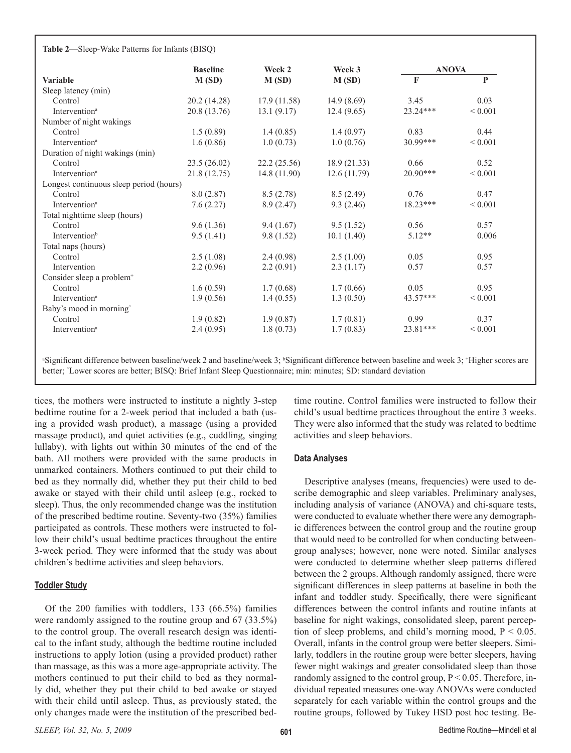|  | Table 2-Sleep-Wake Patterns for Infants (BISQ) |  |  |  |
|--|------------------------------------------------|--|--|--|
|--|------------------------------------------------|--|--|--|

|                                         | <b>Baseline</b> | Week 2       | Week 3      | <b>ANOVA</b> |             |
|-----------------------------------------|-----------------|--------------|-------------|--------------|-------------|
| <b>Variable</b>                         | M(SD)           | M(SD)        | M(SD)       | $\mathbf{F}$ | P           |
| Sleep latency (min)                     |                 |              |             |              |             |
| Control                                 | 20.2 (14.28)    | 17.9(11.58)  | 14.9(8.69)  | 3.45         | 0.03        |
| Intervention <sup>a</sup>               | 20.8 (13.76)    | 13.1(9.17)   | 12.4(9.65)  | 23.24***     | ${}< 0.001$ |
| Number of night wakings                 |                 |              |             |              |             |
| Control                                 | 1.5(0.89)       | 1.4(0.85)    | 1.4(0.97)   | 0.83         | 0.44        |
| Intervention <sup>a</sup>               | 1.6(0.86)       | 1.0(0.73)    | 1.0(0.76)   | $30.99***$   | ${}< 0.001$ |
| Duration of night wakings (min)         |                 |              |             |              |             |
| Control                                 | 23.5 (26.02)    | 22.2(25.56)  | 18.9(21.33) | 0.66         | 0.52        |
| <b>Intervention</b> <sup>a</sup>        | 21.8(12.75)     | 14.8 (11.90) | 12.6(11.79) | $20.90***$   | ${}< 0.001$ |
| Longest continuous sleep period (hours) |                 |              |             |              |             |
| Control                                 | 8.0(2.87)       | 8.5(2.78)    | 8.5(2.49)   | 0.76         | 0.47        |
| Intervention <sup>a</sup>               | 7.6(2.27)       | 8.9(2.47)    | 9.3(2.46)   | $18.23***$   | ${}< 0.001$ |
| Total nighttime sleep (hours)           |                 |              |             |              |             |
| Control                                 | 9.6(1.36)       | 9.4(1.67)    | 9.5(1.52)   | 0.56         | 0.57        |
| Intervention <sup>b</sup>               | 9.5(1.41)       | 9.8(1.52)    | 10.1(1.40)  | $5.12**$     | 0.006       |
| Total naps (hours)                      |                 |              |             |              |             |
| Control                                 | 2.5(1.08)       | 2.4(0.98)    | 2.5(1.00)   | 0.05         | 0.95        |
| Intervention                            | 2.2(0.96)       | 2.2(0.91)    | 2.3(1.17)   | 0.57         | 0.57        |
| Consider sleep a problem <sup>+</sup>   |                 |              |             |              |             |
| Control                                 | 1.6(0.59)       | 1.7(0.68)    | 1.7(0.66)   | 0.05         | 0.95        |
| Intervention <sup>a</sup>               | 1.9(0.56)       | 1.4(0.55)    | 1.3(0.50)   | 43.57***     | ${}< 0.001$ |
| Baby's mood in morning                  |                 |              |             |              |             |
| Control                                 | 1.9(0.82)       | 1.9(0.87)    | 1.7(0.81)   | 0.99         | 0.37        |
| Intervention <sup>a</sup>               | 2.4(0.95)       | 1.8(0.73)    | 1.7(0.83)   | $23.81***$   | ${}< 0.001$ |

"Significant difference between baseline/week 2 and baseline/week 3; "Significant difference between baseline and week 3; "Higher scores are better; ^ Lower scores are better; BISQ: Brief Infant Sleep Questionnaire; min: minutes; SD: standard deviation

tices, the mothers were instructed to institute a nightly 3-step bedtime routine for a 2-week period that included a bath (using a provided wash product), a massage (using a provided massage product), and quiet activities (e.g., cuddling, singing lullaby), with lights out within 30 minutes of the end of the bath. All mothers were provided with the same products in unmarked containers. Mothers continued to put their child to bed as they normally did, whether they put their child to bed awake or stayed with their child until asleep (e.g., rocked to sleep). Thus, the only recommended change was the institution of the prescribed bedtime routine. Seventy-two (35%) families participated as controls. These mothers were instructed to follow their child's usual bedtime practices throughout the entire 3-week period. They were informed that the study was about children's bedtime activities and sleep behaviors.

#### **Toddler Study**

Of the 200 families with toddlers, 133 (66.5%) families were randomly assigned to the routine group and 67 (33.5%) to the control group. The overall research design was identical to the infant study, although the bedtime routine included instructions to apply lotion (using a provided product) rather than massage, as this was a more age-appropriate activity. The mothers continued to put their child to bed as they normally did, whether they put their child to bed awake or stayed with their child until asleep. Thus, as previously stated, the only changes made were the institution of the prescribed bed-

time routine. Control families were instructed to follow their child's usual bedtime practices throughout the entire 3 weeks. They were also informed that the study was related to bedtime activities and sleep behaviors.

#### **Data Analyses**

Descriptive analyses (means, frequencies) were used to describe demographic and sleep variables. Preliminary analyses, including analysis of variance (ANOVA) and chi-square tests, were conducted to evaluate whether there were any demographic differences between the control group and the routine group that would need to be controlled for when conducting betweengroup analyses; however, none were noted. Similar analyses were conducted to determine whether sleep patterns differed between the 2 groups. Although randomly assigned, there were significant differences in sleep patterns at baseline in both the infant and toddler study. Specifically, there were significant differences between the control infants and routine infants at baseline for night wakings, consolidated sleep, parent perception of sleep problems, and child's morning mood,  $P < 0.05$ . Overall, infants in the control group were better sleepers. Similarly, toddlers in the routine group were better sleepers, having fewer night wakings and greater consolidated sleep than those randomly assigned to the control group,  $P \le 0.05$ . Therefore, individual repeated measures one-way ANOVAs were conducted separately for each variable within the control groups and the routine groups, followed by Tukey HSD post hoc testing. Be-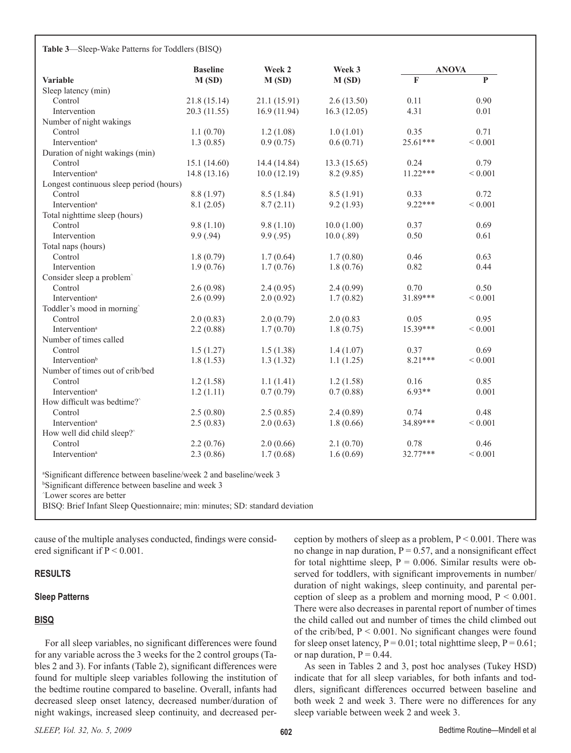|                                                                                                                                                                                                                                                                | <b>Baseline</b> | Week 2       | Week 3       | <b>ANOVA</b>            |              |
|----------------------------------------------------------------------------------------------------------------------------------------------------------------------------------------------------------------------------------------------------------------|-----------------|--------------|--------------|-------------------------|--------------|
| Variable                                                                                                                                                                                                                                                       | M(SD)           | M(SD)        | M(SD)        | $\overline{\mathbf{F}}$ | $\mathbf{P}$ |
| Sleep latency (min)                                                                                                                                                                                                                                            |                 |              |              |                         |              |
| Control                                                                                                                                                                                                                                                        | 21.8 (15.14)    | 21.1(15.91)  | 2.6(13.50)   | 0.11                    | 0.90         |
| Intervention                                                                                                                                                                                                                                                   | 20.3 (11.55)    | 16.9(11.94)  | 16.3(12.05)  | 4.31                    | 0.01         |
| Number of night wakings                                                                                                                                                                                                                                        |                 |              |              |                         |              |
| Control                                                                                                                                                                                                                                                        | 1.1(0.70)       | 1.2(1.08)    | 1.0(1.01)    | 0.35                    | 0.71         |
| Intervention <sup>a</sup>                                                                                                                                                                                                                                      | 1.3(0.85)       | 0.9(0.75)    | 0.6(0.71)    | 25.61***                | ${}< 0.001$  |
| Duration of night wakings (min)                                                                                                                                                                                                                                |                 |              |              |                         |              |
| Control                                                                                                                                                                                                                                                        | 15.1(14.60)     | 14.4 (14.84) | 13.3 (15.65) | 0.24                    | 0.79         |
| Intervention <sup>a</sup>                                                                                                                                                                                                                                      | 14.8 (13.16)    | 10.0(12.19)  | 8.2 (9.85)   | $11.22***$              | ${}< 0.001$  |
| Longest continuous sleep period (hours)                                                                                                                                                                                                                        |                 |              |              |                         |              |
| Control                                                                                                                                                                                                                                                        | 8.8 (1.97)      | 8.5(1.84)    | 8.5(1.91)    | 0.33                    | 0.72         |
| Intervention <sup>a</sup>                                                                                                                                                                                                                                      | 8.1(2.05)       | 8.7(2.11)    | 9.2(1.93)    | $9.22***$               | ${}< 0.001$  |
| Total nighttime sleep (hours)                                                                                                                                                                                                                                  |                 |              |              |                         |              |
| Control                                                                                                                                                                                                                                                        | 9.8(1.10)       | 9.8(1.10)    | 10.0(1.00)   | 0.37                    | 0.69         |
| Intervention                                                                                                                                                                                                                                                   | 9.9(0.94)       | 9.9(.95)     | 10.0(0.89)   | 0.50                    | 0.61         |
| Total naps (hours)                                                                                                                                                                                                                                             |                 |              |              |                         |              |
| Control                                                                                                                                                                                                                                                        | 1.8(0.79)       | 1.7(0.64)    | 1.7(0.80)    | 0.46                    | 0.63         |
| Intervention                                                                                                                                                                                                                                                   | 1.9(0.76)       | 1.7(0.76)    | 1.8(0.76)    | 0.82                    | 0.44         |
| Consider sleep a problem <sup>^</sup>                                                                                                                                                                                                                          |                 |              |              |                         |              |
| Control                                                                                                                                                                                                                                                        | 2.6(0.98)       | 2.4(0.95)    | 2.4(0.99)    | 0.70                    | 0.50         |
| Intervention <sup>a</sup>                                                                                                                                                                                                                                      | 2.6(0.99)       | 2.0(0.92)    | 1.7(0.82)    | 31.89***                | ${}< 0.001$  |
| Toddler's mood in morning                                                                                                                                                                                                                                      |                 |              |              |                         |              |
| Control                                                                                                                                                                                                                                                        | 2.0(0.83)       | 2.0(0.79)    | 2.0(0.83)    | 0.05                    | 0.95         |
| Intervention <sup>a</sup>                                                                                                                                                                                                                                      | 2.2(0.88)       | 1.7(0.70)    | 1.8(0.75)    | 15.39***                | ${}< 0.001$  |
| Number of times called                                                                                                                                                                                                                                         |                 |              |              |                         |              |
| Control                                                                                                                                                                                                                                                        | 1.5(1.27)       | 1.5(1.38)    | 1.4(1.07)    | 0.37                    | 0.69         |
| Intervention <sup>b</sup>                                                                                                                                                                                                                                      | 1.8(1.53)       | 1.3(1.32)    | 1.1(1.25)    | $8.21***$               | ${}< 0.001$  |
| Number of times out of crib/bed                                                                                                                                                                                                                                |                 |              |              |                         |              |
| Control                                                                                                                                                                                                                                                        | 1.2(1.58)       | 1.1(1.41)    | 1.2(1.58)    | 0.16                    | 0.85         |
| Intervention <sup>a</sup>                                                                                                                                                                                                                                      | 1.2(1.11)       | 0.7(0.79)    | 0.7(0.88)    | $6.93**$                | 0.001        |
| How difficult was bedtime?                                                                                                                                                                                                                                     |                 |              |              |                         |              |
| Control                                                                                                                                                                                                                                                        | 2.5(0.80)       | 2.5(0.85)    | 2.4(0.89)    | 0.74                    | 0.48         |
| Intervention <sup>a</sup>                                                                                                                                                                                                                                      | 2.5(0.83)       | 2.0(0.63)    | 1.8(0.66)    | 34.89***                | ${}< 0.001$  |
| How well did child sleep?                                                                                                                                                                                                                                      |                 |              |              |                         |              |
| Control                                                                                                                                                                                                                                                        | 2.2(0.76)       | 2.0(0.66)    | 2.1(0.70)    | 0.78                    | 0.46         |
| Intervention <sup>a</sup>                                                                                                                                                                                                                                      | 2.3(0.86)       | 1.7(0.68)    | 1.6(0.69)    | 32.77***                | ${}< 0.001$  |
| <sup>a</sup> Significant difference between baseline/week 2 and baseline/week 3<br><sup>b</sup> Significant difference between baseline and week 3<br>'Lower scores are better<br>BISQ: Brief Infant Sleep Questionnaire; min: minutes; SD: standard deviation |                 |              |              |                         |              |

cause of the multiple analyses conducted, findings were consid-

#### **Results**

#### **Sleep Patterns**

ered significant if  $P < 0.001$ .

#### **BISQ**

For all sleep variables, no significant differences were found for any variable across the 3 weeks for the 2 control groups (Tables 2 and 3). For infants (Table 2), significant differences were found for multiple sleep variables following the institution of the bedtime routine compared to baseline. Overall, infants had decreased sleep onset latency, decreased number/duration of night wakings, increased sleep continuity, and decreased per-

ception by mothers of sleep as a problem,  $P \le 0.001$ . There was no change in nap duration,  $P = 0.57$ , and a nonsignificant effect for total nighttime sleep,  $P = 0.006$ . Similar results were observed for toddlers, with significant improvements in number/ duration of night wakings, sleep continuity, and parental perception of sleep as a problem and morning mood,  $P \le 0.001$ . There were also decreases in parental report of number of times the child called out and number of times the child climbed out of the crib/bed,  $P < 0.001$ . No significant changes were found for sleep onset latency,  $P = 0.01$ ; total nighttime sleep,  $P = 0.61$ ; or nap duration,  $P = 0.44$ .

As seen in Tables 2 and 3, post hoc analyses (Tukey HSD) indicate that for all sleep variables, for both infants and toddlers, significant differences occurred between baseline and both week 2 and week 3. There were no differences for any sleep variable between week 2 and week 3.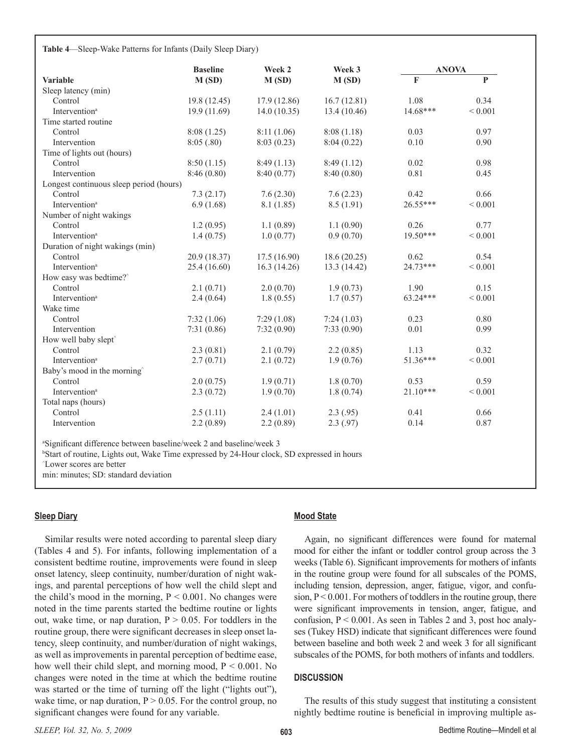**Table 4**—Sleep-Wake Patterns for Infants (Daily Sleep Diary)

|                                         | <b>Baseline</b> | Week 2      | Week 3<br>M(SD) | <b>ANOVA</b> |              |
|-----------------------------------------|-----------------|-------------|-----------------|--------------|--------------|
| <b>Variable</b>                         | M(SD)           | M(SD)       |                 | $\mathbf{F}$ | $\mathbf{P}$ |
| Sleep latency (min)                     |                 |             |                 |              |              |
| Control                                 | 19.8 (12.45)    | 17.9(12.86) | 16.7(12.81)     | 1.08         | 0.34         |
| Intervention <sup>a</sup>               | 19.9 (11.69)    | 14.0(10.35) | 13.4 (10.46)    | $14.68***$   | ${}< 0.001$  |
| Time started routine                    |                 |             |                 |              |              |
| Control                                 | 8:08(1.25)      | 8:11(1.06)  | 8:08(1.18)      | 0.03         | 0.97         |
| Intervention                            | 8:05(.80)       | 8:03(0.23)  | 8:04(0.22)      | 0.10         | 0.90         |
| Time of lights out (hours)              |                 |             |                 |              |              |
| Control                                 | 8:50(1.15)      | 8:49(1.13)  | 8:49(1.12)      | 0.02         | 0.98         |
| Intervention                            | 8:46(0.80)      | 8:40(0.77)  | 8:40(0.80)      | 0.81         | 0.45         |
| Longest continuous sleep period (hours) |                 |             |                 |              |              |
| Control                                 | 7.3(2.17)       | 7.6(2.30)   | 7.6(2.23)       | 0.42         | 0.66         |
| Intervention <sup>a</sup>               | 6.9(1.68)       | 8.1(1.85)   | 8.5(1.91)       | $26.55***$   | ${}< 0.001$  |
| Number of night wakings                 |                 |             |                 |              |              |
| Control                                 | 1.2(0.95)       | 1.1(0.89)   | 1.1(0.90)       | 0.26         | 0.77         |
| Intervention <sup>a</sup>               | 1.4(0.75)       | 1.0(0.77)   | 0.9(0.70)       | 19.50***     | ${}< 0.001$  |
| Duration of night wakings (min)         |                 |             |                 |              |              |
| Control                                 | 20.9 (18.37)    | 17.5(16.90) | 18.6(20.25)     | 0.62         | 0.54         |
| Intervention <sup>a</sup>               | 25.4 (16.60)    | 16.3(14.26) | 13.3 (14.42)    | $24.73***$   | ${}< 0.001$  |
| How easy was bedtime?^                  |                 |             |                 |              |              |
| Control                                 | 2.1(0.71)       | 2.0(0.70)   | 1.9(0.73)       | 1.90         | 0.15         |
| Intervention <sup>a</sup>               | 2.4(0.64)       | 1.8(0.55)   | 1.7(0.57)       | $63.24***$   | ${}< 0.001$  |
| Wake time                               |                 |             |                 |              |              |
| Control                                 | 7:32(1.06)      | 7:29(1.08)  | 7:24(1.03)      | 0.23         | 0.80         |
| Intervention                            | 7:31(0.86)      | 7:32(0.90)  | 7:33(0.90)      | 0.01         | 0.99         |
| How well baby slept^                    |                 |             |                 |              |              |
| Control                                 | 2.3(0.81)       | 2.1(0.79)   | 2.2(0.85)       | 1.13         | 0.32         |
| Intervention <sup>a</sup>               | 2.7(0.71)       | 2.1(0.72)   | 1.9(0.76)       | 51.36***     | ${}< 0.001$  |
| Baby's mood in the morning              |                 |             |                 |              |              |
| Control                                 | 2.0(0.75)       | 1.9(0.71)   | 1.8(0.70)       | 0.53         | 0.59         |
| Intervention <sup>a</sup>               | 2.3(0.72)       | 1.9(0.70)   | 1.8(0.74)       | $21.10***$   | ${}< 0.001$  |
| Total naps (hours)                      |                 |             |                 |              |              |
| Control                                 | 2.5(1.11)       | 2.4(1.01)   | 2.3(0.95)       | 0.41         | 0.66         |
| Intervention                            | 2.2(0.89)       | 2.2(0.89)   | 2.3(.97)        | 0.14         | 0.87         |

b Start of routine, Lights out, Wake Time expressed by 24-Hour clock, SD expressed in hours

^ Lower scores are better

min: minutes; SD: standard deviation

## **Sleep Diary**

Similar results were noted according to parental sleep diary (Tables 4 and 5). For infants, following implementation of a consistent bedtime routine, improvements were found in sleep onset latency, sleep continuity, number/duration of night wakings, and parental perceptions of how well the child slept and the child's mood in the morning,  $P \le 0.001$ . No changes were noted in the time parents started the bedtime routine or lights out, wake time, or nap duration,  $P > 0.05$ . For toddlers in the routine group, there were significant decreases in sleep onset latency, sleep continuity, and number/duration of night wakings, as well as improvements in parental perception of bedtime ease, how well their child slept, and morning mood, P < 0.001. No changes were noted in the time at which the bedtime routine was started or the time of turning off the light ("lights out"), wake time, or nap duration,  $P > 0.05$ . For the control group, no significant changes were found for any variable.

## **Mood State**

Again, no significant differences were found for maternal mood for either the infant or toddler control group across the 3 weeks (Table 6). Significant improvements for mothers of infants in the routine group were found for all subscales of the POMS, including tension, depression, anger, fatigue, vigor, and confusion,  $P \le 0.001$ . For mothers of toddlers in the routine group, there were significant improvements in tension, anger, fatigue, and confusion,  $P < 0.001$ . As seen in Tables 2 and 3, post hoc analyses (Tukey HSD) indicate that significant differences were found between baseline and both week 2 and week 3 for all significant subscales of the POMS, for both mothers of infants and toddlers.

### **Discussion**

The results of this study suggest that instituting a consistent nightly bedtime routine is beneficial in improving multiple as-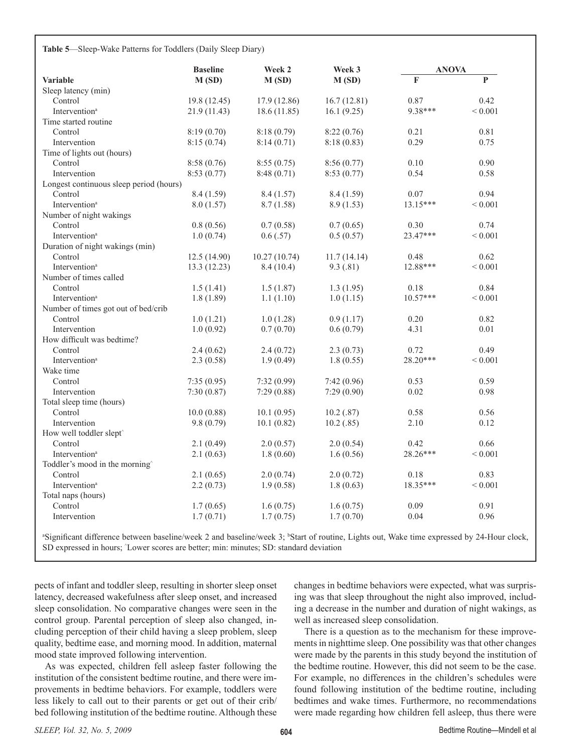| Table 5-Sleep-Wake Patterns for Toddlers (Daily Sleep Diary) |  |  |  |  |  |
|--------------------------------------------------------------|--|--|--|--|--|
|--------------------------------------------------------------|--|--|--|--|--|

|                                         | <b>Baseline</b> | Week 2       | Week 3      | <b>ANOVA</b> |              |
|-----------------------------------------|-----------------|--------------|-------------|--------------|--------------|
| <b>Variable</b>                         | M(SD)           | M(SD)        | M(SD)       | $\mathbf{F}$ | P            |
| Sleep latency (min)                     |                 |              |             |              |              |
| Control                                 | 19.8 (12.45)    | 17.9 (12.86) | 16.7(12.81) | 0.87         | 0.42         |
| Intervention <sup>a</sup>               | 21.9 (11.43)    | 18.6(11.85)  | 16.1(9.25)  | 9.38***      | ${}_{0.001}$ |
| Time started routine                    |                 |              |             |              |              |
| Control                                 | 8:19(0.70)      | 8:18(0.79)   | 8:22(0.76)  | 0.21         | 0.81         |
| Intervention                            | 8:15(0.74)      | 8:14(0.71)   | 8:18(0.83)  | 0.29         | 0.75         |
| Time of lights out (hours)              |                 |              |             |              |              |
| Control                                 | 8:58(0.76)      | 8:55(0.75)   | 8:56(0.77)  | 0.10         | 0.90         |
| Intervention                            | 8:53(0.77)      | 8:48 (0.71)  | 8:53(0.77)  | 0.54         | 0.58         |
| Longest continuous sleep period (hours) |                 |              |             |              |              |
| Control                                 | 8.4(1.59)       | 8.4(1.57)    | 8.4(1.59)   | 0.07         | 0.94         |
| Intervention <sup>a</sup>               | 8.0(1.57)       | 8.7(1.58)    | 8.9(1.53)   | 13.15***     | ${}< 0.001$  |
| Number of night wakings                 |                 |              |             |              |              |
| Control                                 | 0.8(0.56)       | 0.7(0.58)    | 0.7(0.65)   | 0.30         | 0.74         |
| Intervention <sup>a</sup>               | 1.0(0.74)       | 0.6(0.57)    | 0.5(0.57)   | 23.47***     | ${}< 0.001$  |
| Duration of night wakings (min)         |                 |              |             |              |              |
| Control                                 | 12.5(14.90)     | 10.27(10.74) | 11.7(14.14) | 0.48         | 0.62         |
| Intervention <sup>a</sup>               | 13.3 (12.23)    | 8.4(10.4)    | 9.3(0.81)   | 12.88***     | ${}< 0.001$  |
| Number of times called                  |                 |              |             |              |              |
| Control                                 | 1.5(1.41)       | 1.5(1.87)    | 1.3(1.95)   | 0.18         | 0.84         |
| Intervention <sup>a</sup>               | 1.8(1.89)       | 1.1(1.10)    | 1.0(1.15)   | $10.57***$   | ${}< 0.001$  |
| Number of times got out of bed/crib     |                 |              |             |              |              |
| Control                                 | 1.0(1.21)       | 1.0(1.28)    | 0.9(1.17)   | 0.20         | 0.82         |
| Intervention                            | 1.0(0.92)       | 0.7(0.70)    | 0.6(0.79)   | 4.31         | 0.01         |
| How difficult was bedtime?              |                 |              |             |              |              |
| Control                                 | 2.4(0.62)       | 2.4(0.72)    | 2.3(0.73)   | 0.72         | 0.49         |
| Intervention <sup>a</sup>               | 2.3(0.58)       | 1.9(0.49)    | 1.8(0.55)   | 28.20***     | ${}< 0.001$  |
| Wake time                               |                 |              |             |              |              |
| Control                                 | 7:35(0.95)      | 7:32(0.99)   | 7:42(0.96)  | 0.53         | 0.59         |
| Intervention                            | 7:30(0.87)      | 7:29(0.88)   | 7:29(0.90)  | 0.02         | 0.98         |
| Total sleep time (hours)                |                 |              |             |              |              |
| Control                                 | 10.0(0.88)      | 10.1(0.95)   | 10.2(.87)   | 0.58         | 0.56         |
| Intervention                            | 9.8(0.79)       | 10.1(0.82)   | 10.2(.85)   | 2.10         | 0.12         |
| How well toddler slept <sup>^</sup>     |                 |              |             |              |              |
| Control                                 | 2.1(0.49)       | 2.0(0.57)    | 2.0(0.54)   | 0.42         | 0.66         |
| Intervention <sup>a</sup>               |                 |              |             | 28.26***     | ${}< 0.001$  |
|                                         | 2.1(0.63)       | 1.8(0.60)    | 1.6(0.56)   |              |              |
| Toddler's mood in the morning           |                 |              |             |              |              |
| Control                                 | 2.1(0.65)       | 2.0(0.74)    | 2.0(0.72)   | 0.18         | 0.83         |
| Intervention <sup>a</sup>               | 2.2(0.73)       | 1.9(0.58)    | 1.8(0.63)   | 18.35***     | ${}< 0.001$  |
| Total naps (hours)                      |                 |              |             |              |              |
| Control                                 | 1.7(0.65)       | 1.6(0.75)    | 1.6(0.75)   | 0.09         | 0.91         |
| Intervention                            | 1.7(0.71)       | 1.7(0.75)    | 1.7(0.70)   | 0.04         | 0.96         |

<sup>a</sup>Significant difference between baseline/week 2 and baseline/week 3; <sup>b</sup>Start of routine, Lights out, Wake time expressed by 24-Hour clock, SD expressed in hours; ^ Lower scores are better; min: minutes; SD: standard deviation

pects of infant and toddler sleep, resulting in shorter sleep onset latency, decreased wakefulness after sleep onset, and increased sleep consolidation. No comparative changes were seen in the control group. Parental perception of sleep also changed, including perception of their child having a sleep problem, sleep quality, bedtime ease, and morning mood. In addition, maternal mood state improved following intervention.

As was expected, children fell asleep faster following the institution of the consistent bedtime routine, and there were improvements in bedtime behaviors. For example, toddlers were less likely to call out to their parents or get out of their crib/ bed following institution of the bedtime routine. Although these

changes in bedtime behaviors were expected, what was surprising was that sleep throughout the night also improved, including a decrease in the number and duration of night wakings, as well as increased sleep consolidation.

There is a question as to the mechanism for these improvements in nighttime sleep. One possibility was that other changes were made by the parents in this study beyond the institution of the bedtime routine. However, this did not seem to be the case. For example, no differences in the children's schedules were found following institution of the bedtime routine, including bedtimes and wake times. Furthermore, no recommendations were made regarding how children fell asleep, thus there were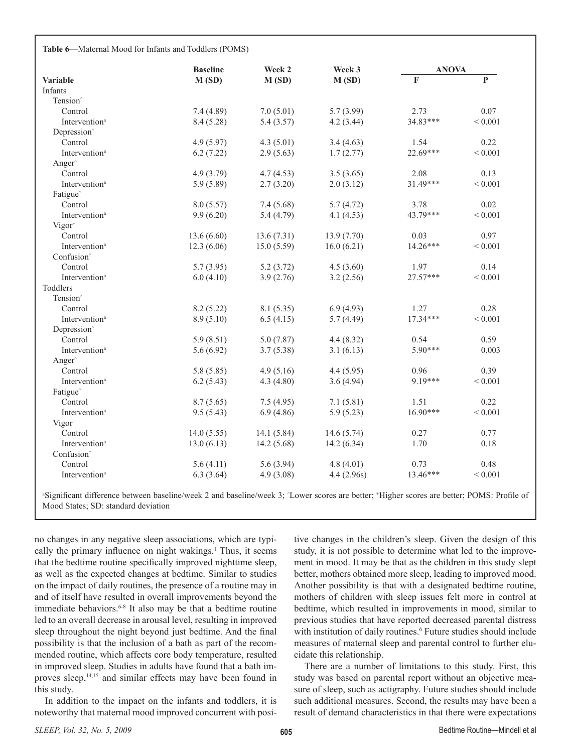**Table 6**—Maternal Mood for Infants and Toddlers (POMS)

|                           | <b>Baseline</b> | Week 2      | Week 3     | <b>ANOVA</b> |              |
|---------------------------|-----------------|-------------|------------|--------------|--------------|
| <b>Variable</b>           | M(SD)           | M(SD)       | M(SD)      | F            | $\mathbf{P}$ |
| Infants                   |                 |             |            |              |              |
| Tension <sup>^</sup>      |                 |             |            |              |              |
| Control                   | 7.4(4.89)       | 7.0(5.01)   | 5.7(3.99)  | 2.73         | 0.07         |
| Intervention <sup>a</sup> | 8.4 (5.28)      | 5.4(3.57)   | 4.2(3.44)  | 34.83***     | ${}< 0.001$  |
| Depression                |                 |             |            |              |              |
| Control                   | 4.9(5.97)       | 4.3(5.01)   | 3.4(4.63)  | 1.54         | 0.22         |
| Intervention <sup>a</sup> | 6.2(7.22)       | 2.9(5.63)   | 1.7(2.77)  | $22.69***$   | ${}< 0.001$  |
| Anger                     |                 |             |            |              |              |
| Control                   | 4.9(3.79)       | 4.7(4.53)   | 3.5(3.65)  | 2.08         | 0.13         |
| Intervention <sup>a</sup> | 5.9(5.89)       | 2.7(3.20)   | 2.0(3.12)  | $31.49***$   | ${}< 0.001$  |
| Fatigue                   |                 |             |            |              |              |
| Control                   | 8.0(5.57)       | 7.4(5.68)   | 5.7(4.72)  | 3.78         | 0.02         |
| Intervention <sup>a</sup> | 9.9(6.20)       | 5.4 (4.79)  | 4.1(4.53)  | 43.79***     | ${}< 0.001$  |
| $Vigor+$                  |                 |             |            |              |              |
| Control                   | 13.6(6.60)      | 13.6(7.31)  | 13.9(7.70) | 0.03         | 0.97         |
| Intervention <sup>a</sup> | 12.3(6.06)      | 15.0(5.59)  | 16.0(6.21) | 14.26***     | ${}< 0.001$  |
| Confusion <sup>^</sup>    |                 |             |            |              |              |
| Control                   | 5.7(3.95)       | 5.2(3.72)   | 4.5(3.60)  | 1.97         | 0.14         |
| Intervention <sup>a</sup> | 6.0(4.10)       | 3.9(2.76)   | 3.2(2.56)  | 27.57***     | ${}< 0.001$  |
| Toddlers                  |                 |             |            |              |              |
| Tension <sup>^</sup>      |                 |             |            |              |              |
| Control                   | 8.2(5.22)       | 8.1(5.35)   | 6.9(4.93)  | 1.27         | 0.28         |
| Intervention <sup>a</sup> | 8.9(5.10)       | 6.5(4.15)   | 5.7(4.49)  | $17.34***$   | ${}< 0.001$  |
| Depression                |                 |             |            |              |              |
| Control                   | 5.9(8.51)       | 5.0(7.87)   | 4.4(8.32)  | 0.54         | 0.59         |
| Intervention <sup>a</sup> | 5.6(6.92)       | 3.7(5.38)   | 3.1(6.13)  | $5.90***$    | 0.003        |
| Anger                     |                 |             |            |              |              |
| Control                   | 5.8(5.85)       | 4.9(5.16)   | 4.4(5.95)  | 0.96         | 0.39         |
| Intervention <sup>a</sup> | 6.2(5.43)       | 4.3(4.80)   | 3.6(4.94)  | 9.19***      | ${}< 0.001$  |
| Fatigue                   |                 |             |            |              |              |
| Control                   | 8.7(5.65)       | 7.5(4.95)   | 7.1(5.81)  | 1.51         | 0.22         |
| Intervention <sup>a</sup> | 9.5(5.43)       | 6.9(4.86)   | 5.9(5.23)  | $16.90***$   | ${}< 0.001$  |
| $Vigor+$                  |                 |             |            |              |              |
| Control                   | 14.0(5.55)      | 14.1 (5.84) | 14.6(5.74) | 0.27         | 0.77         |
| Intervention <sup>a</sup> | 13.0(6.13)      | 14.2(5.68)  | 14.2(6.34) | 1.70         | 0.18         |
| Confusion <sup>^</sup>    |                 |             |            |              |              |
| Control                   | 5.6(4.11)       | 5.6(3.94)   | 4.8(4.01)  | 0.73         | 0.48         |
| Intervention <sup>a</sup> | 6.3(3.64)       | 4.9(3.08)   | 4.4(2.96s) | 13.46***     | ${}< 0.001$  |

a Significant difference between baseline/week 2 and baseline/week 3; ^ Lower scores are better; <sup>+</sup> Higher scores are better; POMS: Profile of Mood States; SD: standard deviation

no changes in any negative sleep associations, which are typically the primary influence on night wakings.<sup>1</sup> Thus, it seems that the bedtime routine specifically improved nighttime sleep, as well as the expected changes at bedtime. Similar to studies on the impact of daily routines, the presence of a routine may in and of itself have resulted in overall improvements beyond the immediate behaviors.<sup>6-8</sup> It also may be that a bedtime routine led to an overall decrease in arousal level, resulting in improved sleep throughout the night beyond just bedtime. And the final possibility is that the inclusion of a bath as part of the recommended routine, which affects core body temperature, resulted in improved sleep. Studies in adults have found that a bath improves sleep,<sup>14,15</sup> and similar effects may have been found in this study.

In addition to the impact on the infants and toddlers, it is noteworthy that maternal mood improved concurrent with posi-

tive changes in the children's sleep. Given the design of this study, it is not possible to determine what led to the improvement in mood. It may be that as the children in this study slept better, mothers obtained more sleep, leading to improved mood. Another possibility is that with a designated bedtime routine, mothers of children with sleep issues felt more in control at bedtime, which resulted in improvements in mood, similar to previous studies that have reported decreased parental distress with institution of daily routines.<sup>6</sup> Future studies should include measures of maternal sleep and parental control to further elucidate this relationship.

There are a number of limitations to this study. First, this study was based on parental report without an objective measure of sleep, such as actigraphy. Future studies should include such additional measures. Second, the results may have been a result of demand characteristics in that there were expectations